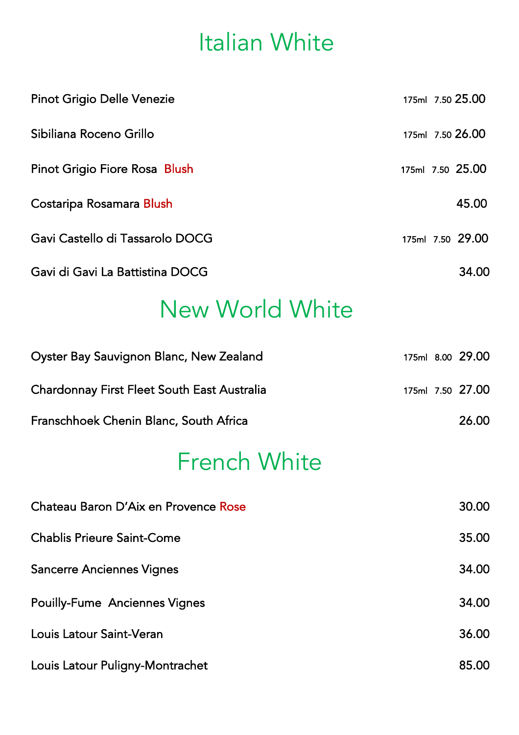## Italian White

| <b>Pinot Grigio Delle Venezie</b> | 175ml 7.50 25.00 |
|-----------------------------------|------------------|
| Sibiliana Roceno Grillo           | 175ml 7.50 26.00 |
| Pinot Grigio Fiore Rosa Blush     | 175ml 7.50 25.00 |
| Costaripa Rosamara Blush          | 45.00            |
| Gavi Castello di Tassarolo DOCG   | 175ml 7.50 29.00 |
| Gavi di Gavi La Battistina DOCG   | 34.00            |

### New World White

| Oyster Bay Sauvignon Blanc, New Zealand     |  | 175ml 8.00 29.00 |
|---------------------------------------------|--|------------------|
| Chardonnay First Fleet South East Australia |  | 175ml 7.50 27.00 |
| Franschhoek Chenin Blanc, South Africa      |  | 26.00            |

# French White

| Chateau Baron D'Aix en Provence Rose | 30.00 |
|--------------------------------------|-------|
| <b>Chablis Prieure Saint-Come</b>    | 35.00 |
| <b>Sancerre Anciennes Vignes</b>     | 34.00 |
| <b>Pouilly-Fume Anciennes Vignes</b> | 34.00 |
| Louis Latour Saint-Veran             | 36.00 |
| Louis Latour Puligny-Montrachet      | 85.00 |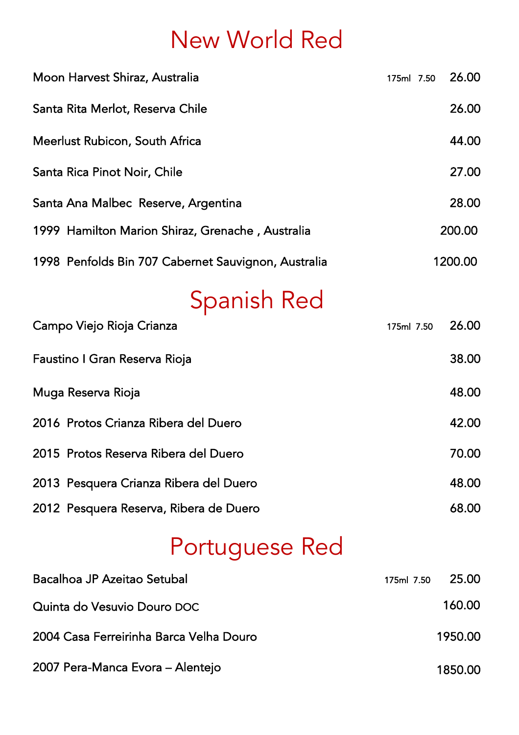# New World Red

| Moon Harvest Shiraz, Australia                      | 175ml 7.50 | 26.00   |
|-----------------------------------------------------|------------|---------|
| Santa Rita Merlot, Reserva Chile                    |            | 26.00   |
| Meerlust Rubicon, South Africa                      |            | 44.00   |
| Santa Rica Pinot Noir, Chile                        |            | 27.00   |
| Santa Ana Malbec Reserve, Argentina                 |            | 28.00   |
| 1999 Hamilton Marion Shiraz, Grenache, Australia    |            | 200.00  |
| 1998 Penfolds Bin 707 Cabernet Sauvignon, Australia |            | 1200.00 |

# Spanish Red

| Campo Viejo Rioja Crianza              | 175ml 7.50 | 26.00 |
|----------------------------------------|------------|-------|
| Faustino I Gran Reserva Rioja          |            | 38.00 |
| Muga Reserva Rioja                     |            | 48.00 |
| 2016 Protos Crianza Ribera del Duero   |            | 42.00 |
| 2015 Protos Reserva Ribera del Duero   |            | 70.00 |
| 2013 Pesquera Crianza Ribera del Duero |            | 48.00 |
| 2012 Pesquera Reserva, Ribera de Duero |            | 68.00 |

# Portuguese Red

| Bacalhoa JP Azeitao Setubal             | 175ml 7.50 | -25.00  |
|-----------------------------------------|------------|---------|
| Quinta do Vesuvio Douro DOC             |            | 160.00  |
| 2004 Casa Ferreirinha Barca Velha Douro |            | 1950.00 |
| 2007 Pera-Manca Evora - Alentejo        |            | 1850.00 |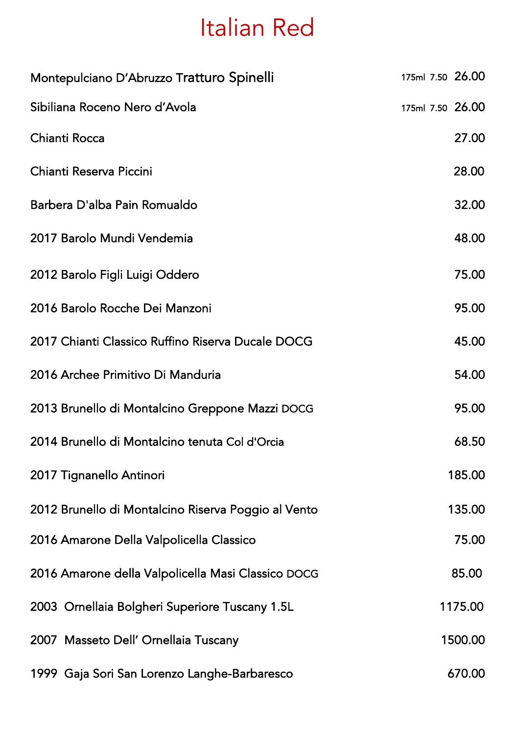## Italian Red

| Montepulciano D'Abruzzo Tratturo Spinelli           | 175ml 7.50 26.00 |
|-----------------------------------------------------|------------------|
| Sibiliana Roceno Nero d'Avola                       | 175ml 7.50 26.00 |
| Chianti Rocca                                       | 27.00            |
| Chianti Reserva Piccini                             | 28.00            |
| Barbera D'alba Pain Romualdo                        | 32.00            |
| 2017 Barolo Mundi Vendemia                          | 48.00            |
| 2012 Barolo Figli Luigi Oddero                      | 75.00            |
| 2016 Barolo Rocche Dei Manzoni                      | 95.00            |
| 2017 Chianti Classico Ruffino Riserva Ducale DOCG   | 45.00            |
| 2016 Archee Primitivo Di Manduria                   | 54.00            |
| 2013 Brunello di Montalcino Greppone Mazzi DOCG     | 95.00            |
| 2014 Brunello di Montalcino tenuta Col d'Orcia      | 68.50            |
| 2017 Tignanello Antinori                            | 185.00           |
| 2012 Brunello di Montalcino Riserva Poggio al Vento | 135.00           |
| 2016 Amarone Della Valpolicella Classico            | 75.00            |
| 2016 Amarone della Valpolicella Masi Classico DOCG  | 85.00            |
| 2003 Ornellaia Bolgheri Superiore Tuscany 1.5L      | 1175.00          |
| 2007 Masseto Dell' Ornellaia Tuscany                | 1500.00          |
| 1999 Gaja Sori San Lorenzo Langhe-Barbaresco        | 670.00           |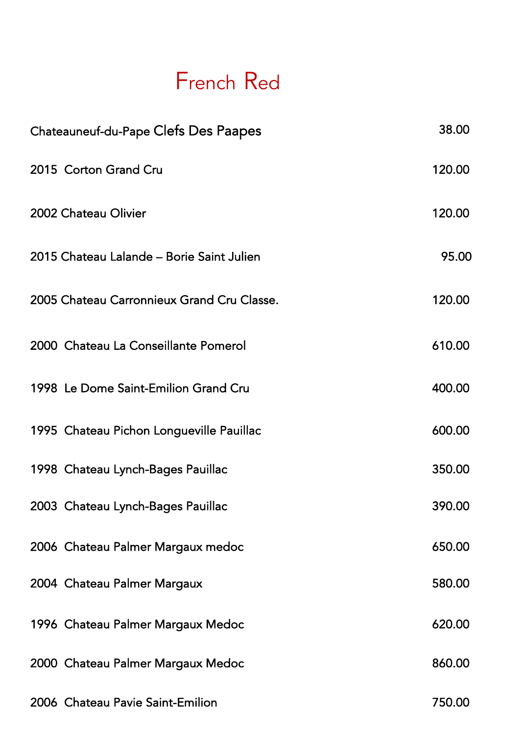#### French Red

| Chateauneuf-du-Pape Clefs Des Paapes       | 38.00  |
|--------------------------------------------|--------|
| 2015 Corton Grand Cru                      | 120.00 |
| 2002 Chateau Olivier                       | 120.00 |
| 2015 Chateau Lalande - Borie Saint Julien  | 95.00  |
| 2005 Chateau Carronnieux Grand Cru Classe. | 120.00 |
| 2000 Chateau La Conseillante Pomerol       | 610.00 |
| 1998 Le Dome Saint-Emilion Grand Cru       | 400.00 |
| 1995 Chateau Pichon Longueville Pauillac   | 600.00 |
| 1998 Chateau Lynch-Bages Pauillac          | 350.00 |
| 2003 Chateau Lynch-Bages Pauillac          | 390.00 |
| 2006 Chateau Palmer Margaux medoc          | 650.00 |
| 2004 Chateau Palmer Margaux                | 580.00 |
| 1996 Chateau Palmer Margaux Medoc          | 620.00 |
| 2000 Chateau Palmer Margaux Medoc          | 860.00 |
| 2006 Chateau Pavie Saint-Emilion           | 750.00 |